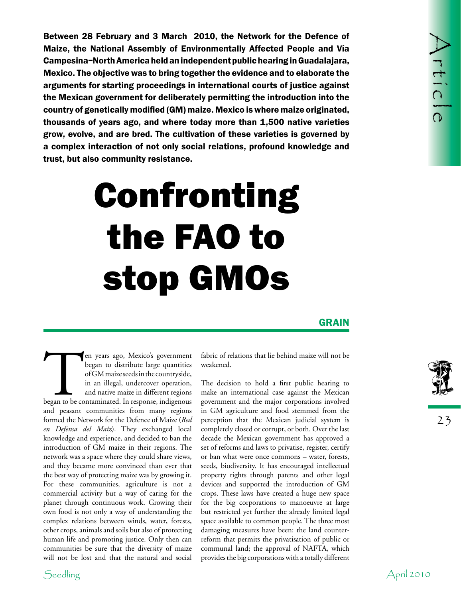Between 28 relationship of a Water 2010, the Network for the Defence of April 2010<br>Malao, the Meldonal Assembly of Environmentally Affected Prophe and Va<br>
Meldon. The objective was to bring together the evidence and to su Between 28 February and 3 March 2010, the Network for the Defence of Maize, the National Assembly of Environmentally Affected People and Vía Campesina–North America held an independent public hearing in Guadalajara, Mexico. The objective was to bring together the evidence and to elaborate the arguments for starting proceedings in international courts of justice against the Mexican government for deliberately permitting the introduction into the country of genetically modified (GM) maize. Mexico is where maize originated, thousands of years ago, and where today more than 1,500 native varieties grow, evolve, and are bred. The cultivation of these varieties is governed by a complex interaction of not only social relations, profound knowledge and trust, but also community resistance.

## Confronting the FAO to stop GMOs

**GRAIN** 

Ten years ago, Mexico's government<br>
began to distribute large quantities<br>
of GM maize seeds in the countryside,<br>
in an illegal, undercover operation,<br>
and native maize in different regions<br>
began to be contaminated. In res began to distribute large quantities of GM maize seeds in the countryside, in an illegal, undercover operation, and native maize in different regions and peasant communities from many regions formed the Network for the Defence of Maize (*Red en Defensa del Maíz*). They exchanged local knowledge and experience, and decided to ban the introduction of GM maize in their regions. The network was a space where they could share views, and they became more convinced than ever that the best way of protecting maize was by growing it. For these communities, agriculture is not a commercial activity but a way of caring for the planet through continuous work. Growing their own food is not only a way of understanding the complex relations between winds, water, forests, other crops, animals and soils but also of protecting human life and promoting justice. Only then can communities be sure that the diversity of maize will not be lost and that the natural and social

fabric of relations that lie behind maize will not be weakened.

The decision to hold a first public hearing to make an international case against the Mexican government and the major corporations involved in GM agriculture and food stemmed from the perception that the Mexican judicial system is completely closed or corrupt, or both. Over the last decade the Mexican government has approved a set of reforms and laws to privatise, register, certify or ban what were once commons – water, forests, seeds, biodiversity. It has encouraged intellectual property rights through patents and other legal devices and supported the introduction of GM crops. These laws have created a huge new space for the big corporations to manoeuvre at large but restricted yet further the already limited legal space available to common people. The three most damaging measures have been: the land counterreform that permits the privatisation of public or communal land; the approval of NAFTA, which provides the big corporations with a totally different

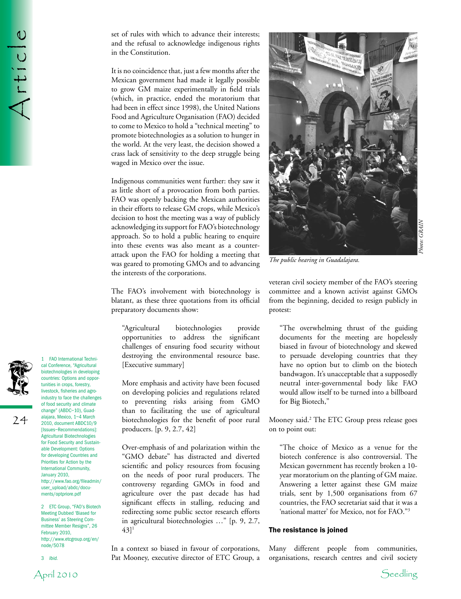Article

set of rules with which to advance their interests; and the refusal to acknowledge indigenous rights in the Constitution.

It is no coincidence that, just a few months after the Mexican government had made it legally possible to grow GM maize experimentally in field trials (which, in practice, ended the moratorium that had been in effect since 1998), the United Nations Food and Agriculture Organisation (FAO) decided to come to Mexico to hold a "technical meeting" to promote biotechnologies as a solution to hunger in the world. At the very least, the decision showed a crass lack of sensitivity to the deep struggle being waged in Mexico over the issue.

Indigenous communities went further: they saw it as little short of a provocation from both parties. FAO was openly backing the Mexican authorities in their efforts to release GM crops, while Mexico's decision to host the meeting was a way of publicly acknowledging its support for FAO's biotechnology approach. So to hold a public hearing to enquire into these events was also meant as a counterattack upon the FAO for holding a meeting that was geared to promoting GMOs and to advancing the interests of the corporations.

The FAO's involvement with biotechnology is blatant, as these three quotations from its official preparatory documents show:

"Agricultural biotechnologies provide opportunities to address the significant challenges of ensuring food security without destroying the environmental resource base. [Executive summary]

More emphasis and activity have been focused on developing policies and regulations related to preventing risks arising from GMO than to facilitating the use of agricultural biotechnologies for the benefit of poor rural producers. [p. 9, 2.7, 42]

Over-emphasis of and polarization within the "GMO debate" has distracted and diverted scientific and policy resources from focusing on the needs of poor rural producers. The controversy regarding GMOs in food and agriculture over the past decade has had significant effects in stalling, reducing and redirecting some public sector research efforts in agricultural biotechnologies …" [p. 9, 2.7,  $[43]$ <sup>1</sup>

In a context so biased in favour of corporations, Pat Mooney, executive director of ETC Group, a



*The public hearing in Guadalajara.*

veteran civil society member of the FAO's steering committee and a known activist against GMOs from the beginning, decided to resign publicly in protest:

"The overwhelming thrust of the guiding documents for the meeting are hopelessly biased in favour of biotechnology and skewed to persuade developing countries that they have no option but to climb on the biotech bandwagon. It's unacceptable that a supposedly neutral inter-governmental body like FAO would allow itself to be turned into a billboard for Big Biotech,"

Mooney said.2 The ETC Group press release goes on to point out:

"The choice of Mexico as a venue for the biotech conference is also controversial. The Mexican government has recently broken a 10 year moratorium on the planting of GM maize. Answering a letter against these GM maize trials, sent by 1,500 organisations from 67 countries, the FAO secretariat said that it was a 'national matter' for Mexico, not for FAO."3

## The resistance is joined

Many different people from communities, organisations, research centres and civil society





24

2010, document ABDC10/9 [Issues–Recommendations]: Agricultural Biotechnologies for Food Security and Sustainable Development: Options for developing Countries and Priorities for Action by the International Community, January 2010, http://www.fao.org/fileadmin/ user\_upload/abdc/documents/optpriore.pdf

1 FAO International Technical Conference, "Agricultural biotechnologies in developing countries: Options and opportunities in crops, forestry, livestock, fisheries and agroindustry to face the challenges of food security and climate change" (ABDC–10), Guadalajara, Mexico, 1–4 March

2 ETC Group, "FAO's Biotech Meeting Dubbed 'Biased for Business' as Steering Committee Member Resigns", 26 February 2010, http://www.etcgroup.org/en/ node/5078

3 *Ibid.*